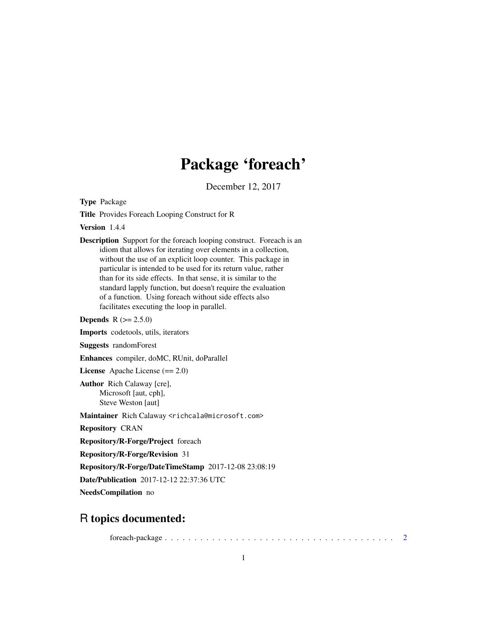## Package 'foreach'

December 12, 2017

<span id="page-0-0"></span>Type Package

Title Provides Foreach Looping Construct for R

Version 1.4.4

Description Support for the foreach looping construct. Foreach is an idiom that allows for iterating over elements in a collection, without the use of an explicit loop counter. This package in particular is intended to be used for its return value, rather than for its side effects. In that sense, it is similar to the standard lapply function, but doesn't require the evaluation of a function. Using foreach without side effects also facilitates executing the loop in parallel.

**Depends**  $R (= 2.5.0)$ 

Imports codetools, utils, iterators

Suggests randomForest

Enhances compiler, doMC, RUnit, doParallel

License Apache License (== 2.0)

Author Rich Calaway [cre], Microsoft [aut, cph], Steve Weston [aut]

Maintainer Rich Calaway <richcala@microsoft.com>

Repository CRAN

Repository/R-Forge/Project foreach

Repository/R-Forge/Revision 31

Repository/R-Forge/DateTimeStamp 2017-12-08 23:08:19

Date/Publication 2017-12-12 22:37:36 UTC

NeedsCompilation no

## R topics documented:

foreach-package . . . . . . . . . . . . . . . . . . . . . . . . . . . . . . . . . . . . . . . [2](#page-1-0)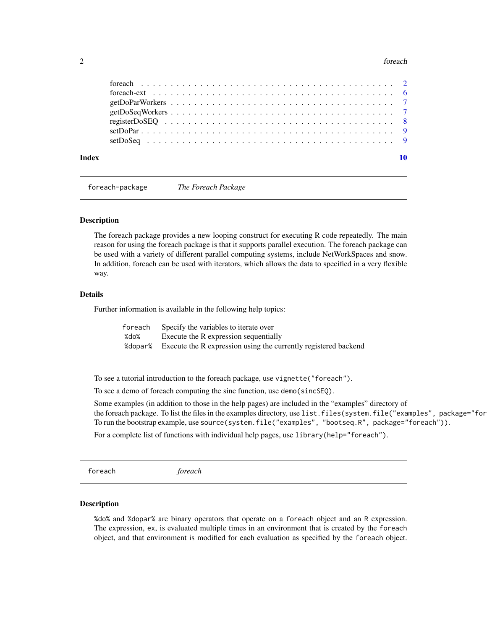#### <span id="page-1-0"></span>2 foreach and  $\alpha$  foreach and  $\alpha$  for  $\alpha$  for  $\alpha$  for  $\alpha$  for  $\alpha$  for  $\alpha$  for  $\alpha$  for  $\alpha$  for  $\alpha$  for  $\alpha$  for  $\alpha$  for  $\alpha$  for  $\alpha$  for  $\alpha$  for  $\alpha$  for  $\alpha$  for  $\alpha$  for  $\alpha$  for  $\alpha$  for  $\alpha$  for  $\alpha$  for  $\$

foreach-package *The Foreach Package*

#### Description

The foreach package provides a new looping construct for executing R code repeatedly. The main reason for using the foreach package is that it supports parallel execution. The foreach package can be used with a variety of different parallel computing systems, include NetWorkSpaces and snow. In addition, foreach can be used with iterators, which allows the data to specified in a very flexible way.

#### Details

Further information is available in the following help topics:

| foreach | Specify the variables to iterate over                                      |
|---------|----------------------------------------------------------------------------|
| %do%    | Execute the R expression sequentially                                      |
|         | % % dopar% Execute the R expression using the currently registered backend |

To see a tutorial introduction to the foreach package, use vignette("foreach").

To see a demo of foreach computing the sinc function, use demo(sincSEQ).

Some examples (in addition to those in the help pages) are included in the "examples" directory of the foreach package. To list the files in the examples directory, use list.files(system.file("examples", package="for To run the bootstrap example, use source(system.file("examples", "bootseq.R", package="foreach")).

For a complete list of functions with individual help pages, use library (help="foreach").

foreach *foreach*

#### <span id="page-1-1"></span>Description

%do% and %dopar% are binary operators that operate on a foreach object and an R expression. The expression, ex, is evaluated multiple times in an environment that is created by the foreach object, and that environment is modified for each evaluation as specified by the foreach object.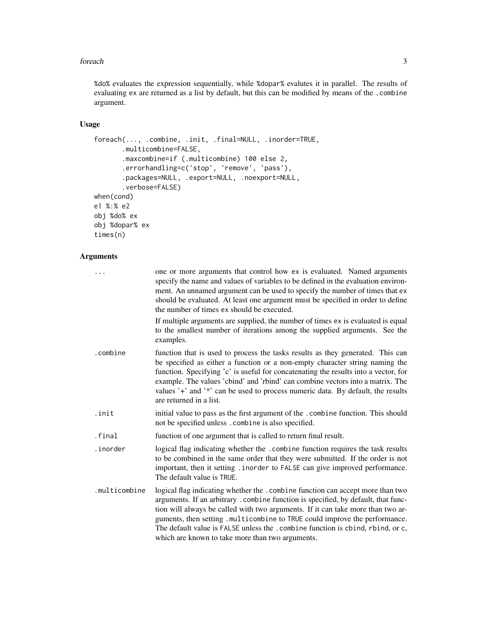#### foreach 3

%do% evaluates the expression sequentially, while %dopar% evalutes it in parallel. The results of evaluating ex are returned as a list by default, but this can be modified by means of the .combine argument.

## Usage

```
foreach(..., .combine, .init, .final=NULL, .inorder=TRUE,
       .multicombine=FALSE,
       .maxcombine=if (.multicombine) 100 else 2,
       .errorhandling=c('stop', 'remove', 'pass'),
       .packages=NULL, .export=NULL, .noexport=NULL,
       .verbose=FALSE)
when(cond)
e1 %:% e2
obj %do% ex
obj %dopar% ex
times(n)
```
## Arguments

| .             | one or more arguments that control how ex is evaluated. Named arguments<br>specify the name and values of variables to be defined in the evaluation environ-<br>ment. An unnamed argument can be used to specify the number of times that ex<br>should be evaluated. At least one argument must be specified in order to define<br>the number of times ex should be executed.                                                                                               |
|---------------|-----------------------------------------------------------------------------------------------------------------------------------------------------------------------------------------------------------------------------------------------------------------------------------------------------------------------------------------------------------------------------------------------------------------------------------------------------------------------------|
|               | If multiple arguments are supplied, the number of times ex is evaluated is equal<br>to the smallest number of iterations among the supplied arguments. See the<br>examples.                                                                                                                                                                                                                                                                                                 |
| .combine      | function that is used to process the tasks results as they generated. This can<br>be specified as either a function or a non-empty character string naming the<br>function. Specifying 'c' is useful for concatenating the results into a vector, for<br>example. The values 'cbind' and 'rbind' can combine vectors into a matrix. The<br>values '+' and '*' can be used to process numeric data. By default, the results<br>are returned in a list.                       |
| .init         | initial value to pass as the first argument of the . combine function. This should<br>not be specified unless. combine is also specified.                                                                                                                                                                                                                                                                                                                                   |
| .final        | function of one argument that is called to return final result.                                                                                                                                                                                                                                                                                                                                                                                                             |
| .inorder      | logical flag indicating whether the .combine function requires the task results<br>to be combined in the same order that they were submitted. If the order is not<br>important, then it setting . inorder to FALSE can give improved performance.<br>The default value is TRUE.                                                                                                                                                                                             |
| .multicombine | logical flag indicating whether the .combine function can accept more than two<br>arguments. If an arbitrary . combine function is specified, by default, that func-<br>tion will always be called with two arguments. If it can take more than two ar-<br>guments, then setting .multicombine to TRUE could improve the performance.<br>The default value is FALSE unless the .combine function is cbind, rbind, or c,<br>which are known to take more than two arguments. |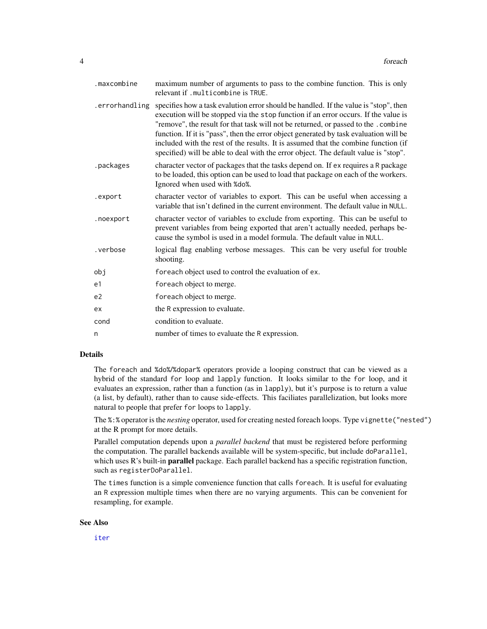<span id="page-3-0"></span>

| .maxcombine    | maximum number of arguments to pass to the combine function. This is only<br>relevant if .multicombine is TRUE.                                                                                                                                                                                                                                                                                                                                                                                                                         |
|----------------|-----------------------------------------------------------------------------------------------------------------------------------------------------------------------------------------------------------------------------------------------------------------------------------------------------------------------------------------------------------------------------------------------------------------------------------------------------------------------------------------------------------------------------------------|
| .errorhandling | specifies how a task evalution error should be handled. If the value is "stop", then<br>execution will be stopped via the stop function if an error occurs. If the value is<br>"remove", the result for that task will not be returned, or passed to the .combine<br>function. If it is "pass", then the error object generated by task evaluation will be<br>included with the rest of the results. It is assumed that the combine function (if<br>specified) will be able to deal with the error object. The default value is "stop". |
| .packages      | character vector of packages that the tasks depend on. If ex requires a R package<br>to be loaded, this option can be used to load that package on each of the workers.<br>Ignored when used with %do%.                                                                                                                                                                                                                                                                                                                                 |
| .export        | character vector of variables to export. This can be useful when accessing a<br>variable that isn't defined in the current environment. The default value in NULL.                                                                                                                                                                                                                                                                                                                                                                      |
| .noexport      | character vector of variables to exclude from exporting. This can be useful to<br>prevent variables from being exported that aren't actually needed, perhaps be-<br>cause the symbol is used in a model formula. The default value in NULL.                                                                                                                                                                                                                                                                                             |
| .verbose       | logical flag enabling verbose messages. This can be very useful for trouble<br>shooting.                                                                                                                                                                                                                                                                                                                                                                                                                                                |
| obj            | for each object used to control the evaluation of ex.                                                                                                                                                                                                                                                                                                                                                                                                                                                                                   |
| e1             | foreach object to merge.                                                                                                                                                                                                                                                                                                                                                                                                                                                                                                                |
| e <sub>2</sub> | foreach object to merge.                                                                                                                                                                                                                                                                                                                                                                                                                                                                                                                |
| ex             | the R expression to evaluate.                                                                                                                                                                                                                                                                                                                                                                                                                                                                                                           |
| cond           | condition to evaluate.                                                                                                                                                                                                                                                                                                                                                                                                                                                                                                                  |
| n              | number of times to evaluate the R expression.                                                                                                                                                                                                                                                                                                                                                                                                                                                                                           |

## Details

The foreach and %do%/%dopar% operators provide a looping construct that can be viewed as a hybrid of the standard for loop and lapply function. It looks similar to the for loop, and it evaluates an expression, rather than a function (as in lapply), but it's purpose is to return a value (a list, by default), rather than to cause side-effects. This faciliates parallelization, but looks more natural to people that prefer for loops to lapply.

The %:% operator is the *nesting* operator, used for creating nested foreach loops. Type vignette("nested") at the R prompt for more details.

Parallel computation depends upon a *parallel backend* that must be registered before performing the computation. The parallel backends available will be system-specific, but include doParallel, which uses R's built-in **parallel** package. Each parallel backend has a specific registration function, such as registerDoParallel.

The times function is a simple convenience function that calls foreach. It is useful for evaluating an R expression multiple times when there are no varying arguments. This can be convenient for resampling, for example.

#### See Also

[iter](#page-0-0)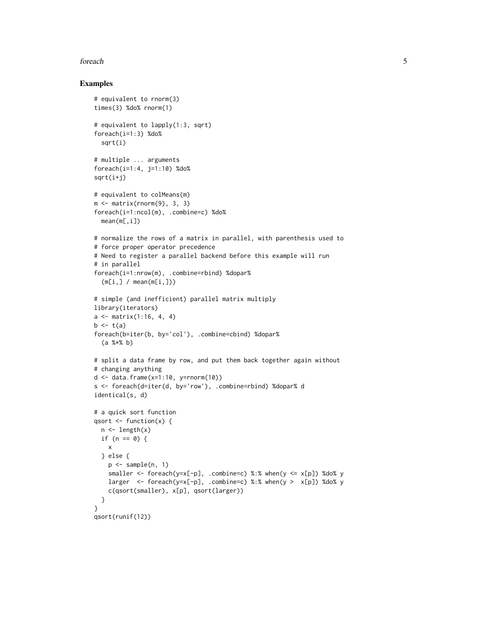#### foreach 5

#### Examples

```
# equivalent to rnorm(3)
times(3) %do% rnorm(1)
# equivalent to lapply(1:3, sqrt)
foreach(i=1:3) %do%
  sqrt(i)
# multiple ... arguments
foreach(i=1:4, j=1:10) %do%
sqrt(i+j)
# equivalent to colMeans(m)
m \le - matrix(rnorm(9), 3, 3)
foreach(i=1:ncol(m), .combine=c) %do%
  mean(m[,i])
# normalize the rows of a matrix in parallel, with parenthesis used to
# force proper operator precedence
# Need to register a parallel backend before this example will run
# in parallel
foreach(i=1:nrow(m), .combine=rbind) %dopar%
  (m[i, ] / mean(m[i, ]))# simple (and inefficient) parallel matrix multiply
library(iterators)
a \leq matrix(1:16, 4, 4)
b \leftarrow t(a)foreach(b=iter(b, by='col'), .combine=cbind) %dopar%
  (a %*% b)
# split a data frame by row, and put them back together again without
# changing anything
d \leq data.frame(x=1:10, y=rnorm(10))s <- foreach(d=iter(d, by='row'), .combine=rbind) %dopar% d
identical(s, d)
# a quick sort function
qsort \leq function(x) {
  n \leftarrow length(x)if (n == 0) {
    x
  } else {
    p \leftarrow sample(n, 1)
    smaller <- foreach(y=x[-p], .combine=c) %:% when(y <= x[p]) %do% y
    larger \le foreach(y=x[-p], .combine=c) %:% when(y > x[p]) %do% y
    c(qsort(smaller), x[p], qsort(larger))
  }
}
qsort(runif(12))
```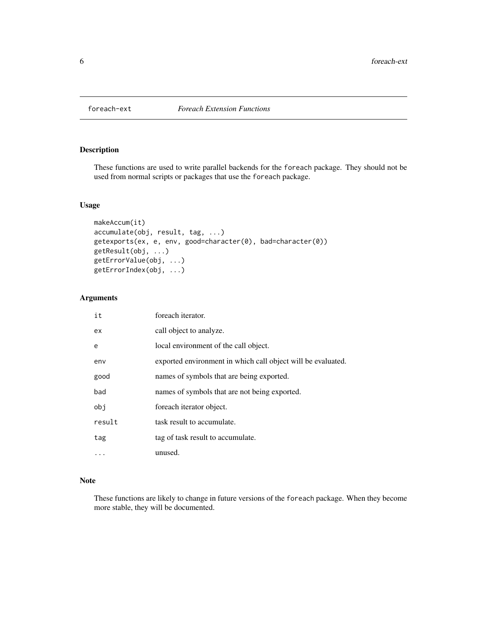<span id="page-5-0"></span>

## Description

These functions are used to write parallel backends for the foreach package. They should not be used from normal scripts or packages that use the foreach package.

## Usage

```
makeAccum(it)
accumulate(obj, result, tag, ...)
getexports(ex, e, env, good=character(0), bad=character(0))
getResult(obj, ...)
getErrorValue(obj, ...)
getErrorIndex(obj, ...)
```
## Arguments

| it       | foreach iterator.                                            |
|----------|--------------------------------------------------------------|
| ex       | call object to analyze.                                      |
| e        | local environment of the call object.                        |
| env      | exported environment in which call object will be evaluated. |
| good     | names of symbols that are being exported.                    |
| bad      | names of symbols that are not being exported.                |
| obi      | foreach iterator object.                                     |
| result   | task result to accumulate.                                   |
| tag      | tag of task result to accumulate.                            |
| $\cdots$ | unused.                                                      |

### Note

These functions are likely to change in future versions of the foreach package. When they become more stable, they will be documented.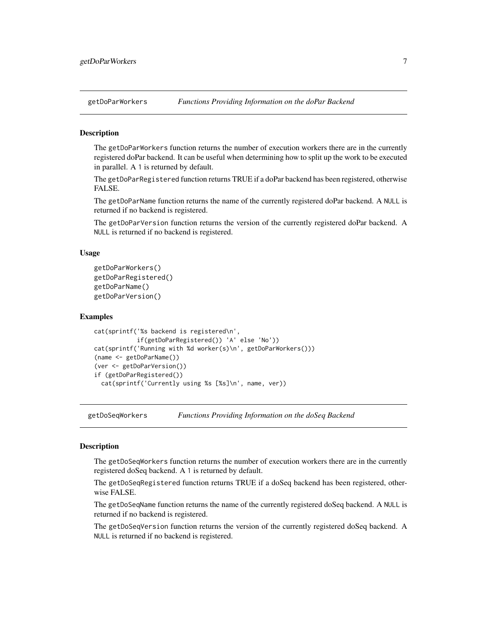<span id="page-6-0"></span>

#### **Description**

The getDoParWorkers function returns the number of execution workers there are in the currently registered doPar backend. It can be useful when determining how to split up the work to be executed in parallel. A 1 is returned by default.

The getDoParRegistered function returns TRUE if a doPar backend has been registered, otherwise FALSE.

The getDoParName function returns the name of the currently registered doPar backend. A NULL is returned if no backend is registered.

The getDoParVersion function returns the version of the currently registered doPar backend. A NULL is returned if no backend is registered.

#### Usage

```
getDoParWorkers()
getDoParRegistered()
getDoParName()
getDoParVersion()
```
#### Examples

```
cat(sprintf('%s backend is registered\n',
            if(getDoParRegistered()) 'A' else 'No'))
cat(sprintf('Running with %d worker(s)\n', getDoParWorkers()))
(name <- getDoParName())
(ver <- getDoParVersion())
if (getDoParRegistered())
 cat(sprintf('Currently using %s [%s]\n', name, ver))
```
getDoSeqWorkers *Functions Providing Information on the doSeq Backend*

## **Description**

The getDoSeqWorkers function returns the number of execution workers there are in the currently registered doSeq backend. A 1 is returned by default.

The getDoSeqRegistered function returns TRUE if a doSeq backend has been registered, otherwise FALSE.

The getDoSeqName function returns the name of the currently registered doSeq backend. A NULL is returned if no backend is registered.

The getDoSeqVersion function returns the version of the currently registered doSeq backend. A NULL is returned if no backend is registered.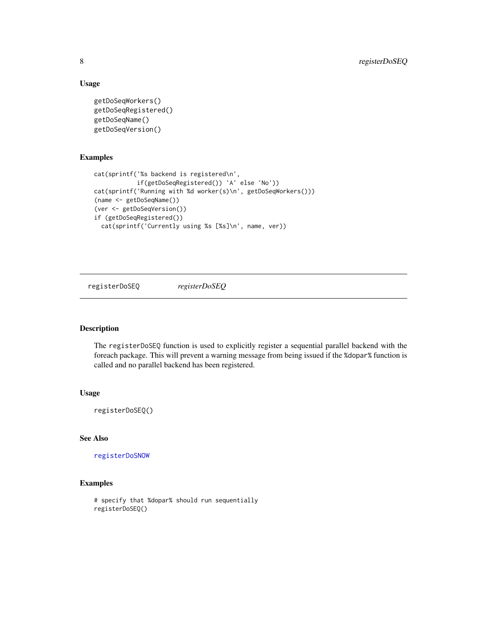## Usage

```
getDoSeqWorkers()
getDoSeqRegistered()
getDoSeqName()
getDoSeqVersion()
```
## Examples

```
cat(sprintf('%s backend is registered\n',
            if(getDoSeqRegistered()) 'A' else 'No'))
cat(sprintf('Running with %d worker(s)\n', getDoSeqWorkers()))
(name <- getDoSeqName())
(ver <- getDoSeqVersion())
if (getDoSeqRegistered())
  cat(sprintf('Currently using %s [%s]\n', name, ver))
```
registerDoSEQ *registerDoSEQ*

## Description

The registerDoSEQ function is used to explicitly register a sequential parallel backend with the foreach package. This will prevent a warning message from being issued if the %dopar% function is called and no parallel backend has been registered.

## Usage

registerDoSEQ()

## See Also

[registerDoSNOW](#page-0-0)

## Examples

```
# specify that %dopar% should run sequentially
registerDoSEQ()
```
<span id="page-7-0"></span>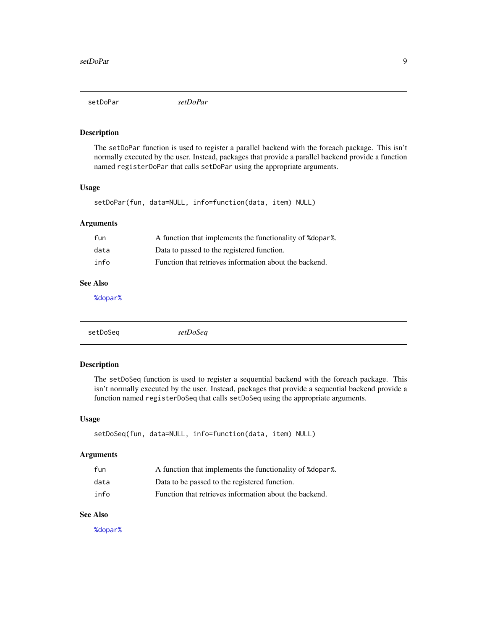<span id="page-8-0"></span>setDoPar *setDoPar*

#### Description

The setDoPar function is used to register a parallel backend with the foreach package. This isn't normally executed by the user. Instead, packages that provide a parallel backend provide a function named registerDoPar that calls setDoPar using the appropriate arguments.

## Usage

setDoPar(fun, data=NULL, info=function(data, item) NULL)

## Arguments

| fun  | A function that implements the functionality of %dopar%. |
|------|----------------------------------------------------------|
| data | Data to passed to the registered function.               |
| info | Function that retrieves information about the backend.   |

## See Also

[%dopar%](#page-1-1)

setDoSeq *setDoSeq*

#### Description

The setDoSeq function is used to register a sequential backend with the foreach package. This isn't normally executed by the user. Instead, packages that provide a sequential backend provide a function named registerDoSeq that calls setDoSeq using the appropriate arguments.

#### Usage

setDoSeq(fun, data=NULL, info=function(data, item) NULL)

#### Arguments

| fun  | A function that implements the functionality of % dopar %. |
|------|------------------------------------------------------------|
| data | Data to be passed to the registered function.              |
| info | Function that retrieves information about the backend.     |

## See Also

[%dopar%](#page-1-1)